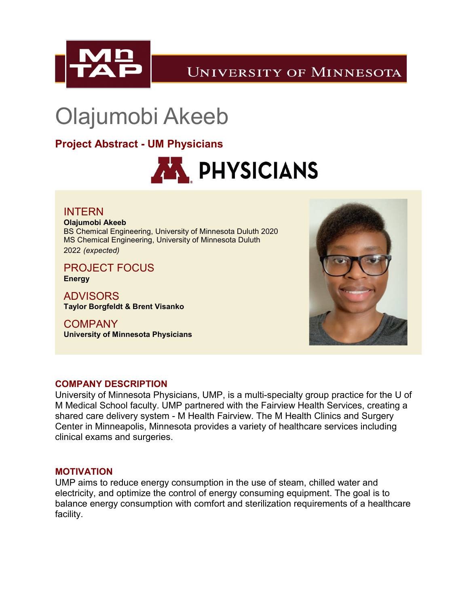

**UNIVERSITY OF MINNESOTA** 

# Olajumobi Akeeb

**Project Abstract - UM Physicians**



INTERN **Olajumobi Akeeb** BS Chemical Engineering, University of Minnesota Duluth 2020 MS Chemical Engineering, University of Minnesota Duluth 2022 *(expected)*

PROJECT FOCUS **Energy**

ADVISORS **Taylor Borgfeldt & Brent Visanko**

**COMPANY University of Minnesota Physicians**



## **COMPANY DESCRIPTION**

University of Minnesota Physicians, UMP, is a multi-specialty group practice for the U of M Medical School faculty. UMP partnered with the Fairview Health Services, creating a shared care delivery system - M Health Fairview. The M Health Clinics and Surgery Center in Minneapolis, Minnesota provides a variety of healthcare services including clinical exams and surgeries.

### **MOTIVATION**

UMP aims to reduce energy consumption in the use of steam, chilled water and electricity, and optimize the control of energy consuming equipment. The goal is to balance energy consumption with comfort and sterilization requirements of a healthcare facility.